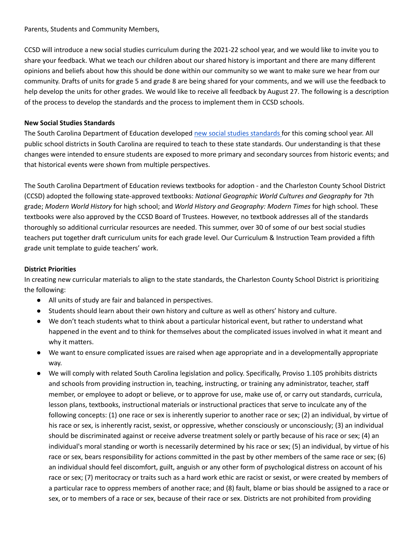Parents, Students and Community Members,

CCSD will introduce a new social studies curriculum during the 2021-22 school year, and we would like to invite you to share your feedback. What we teach our children about our shared history is important and there are many different opinions and beliefs about how this should be done within our community so we want to make sure we hear from our community. Drafts of units for grade 5 and grade 8 are being shared for your comments, and we will use the feedback to help develop the units for other grades. We would like to receive all feedback by August 27. The following is a description of the process to develop the standards and the process to implement them in CCSD schools.

## **New Social Studies Standards**

The South Carolina Department of Education developed new social studies [standards](https://ed.sc.gov/instruction/standards-learning/social-studies/standards/2019-south-carolina-social-studies-college-and-career-ready-standards/) for this coming school year. All public school districts in South Carolina are required to teach to these state standards. Our understanding is that these changes were intended to ensure students are exposed to more primary and secondary sources from historic events; and that historical events were shown from multiple perspectives.

The South Carolina Department of Education reviews textbooks for adoption - and the Charleston County School District (CCSD) adopted the following state-approved textbooks: *National Geographic World Cultures and Geography* for 7th grade; *Modern World History* for high school; and *World History and Geography: Modern Times* for high school. These textbooks were also approved by the CCSD Board of Trustees. However, no textbook addresses all of the standards thoroughly so additional curricular resources are needed. This summer, over 30 of some of our best social studies teachers put together draft curriculum units for each grade level. Our Curriculum & Instruction Team provided a fifth grade unit template to guide teachers' work.

## **District Priorities**

In creating new curricular materials to align to the state standards, the Charleston County School District is prioritizing the following:

- All units of study are fair and balanced in perspectives.
- Students should learn about their own history and culture as well as others' history and culture.
- We don't teach students what to think about a particular historical event, but rather to understand what happened in the event and to think for themselves about the complicated issues involved in what it meant and why it matters.
- We want to ensure complicated issues are raised when age appropriate and in a developmentally appropriate way.
- We will comply with related South Carolina legislation and policy. Specifically, Proviso 1.105 prohibits districts and schools from providing instruction in, teaching, instructing, or training any administrator, teacher, staff member, or employee to adopt or believe, or to approve for use, make use of, or carry out standards, curricula, lesson plans, textbooks, instructional materials or instructional practices that serve to inculcate any of the following concepts: (1) one race or sex is inherently superior to another race or sex; (2) an individual, by virtue of his race or sex, is inherently racist, sexist, or oppressive, whether consciously or unconsciously; (3) an individual should be discriminated against or receive adverse treatment solely or partly because of his race or sex; (4) an individual's moral standing or worth is necessarily determined by his race or sex; (5) an individual, by virtue of his race or sex, bears responsibility for actions committed in the past by other members of the same race or sex; (6) an individual should feel discomfort, guilt, anguish or any other form of psychological distress on account of his race or sex; (7) meritocracy or traits such as a hard work ethic are racist or sexist, or were created by members of a particular race to oppress members of another race; and (8) fault, blame or bias should be assigned to a race or sex, or to members of a race or sex, because of their race or sex. Districts are not prohibited from providing